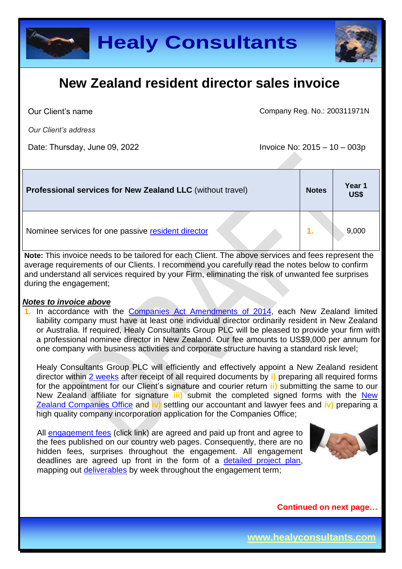



Our Client's name

Company Reg. No.: 200311971N

*Our Client's address*

Date: Thursday, June 09, 2022 **Invoice No: 2015** – 10 – 003p

| <b>Professional services for New Zealand LLC</b> (without travel) | <b>Notes</b> | Year 1<br><b>US\$</b> |
|-------------------------------------------------------------------|--------------|-----------------------|
| Nominee services for one passive resident director                |              | 9,000                 |

**Note:** This invoice needs to be tailored for each Client. The above services and fees represent the average requirements of our Clients. I recommend you carefully read the notes below to confirm and understand all services required by your Firm, eliminating the risk of unwanted fee surprises during the engagement;

#### *Notes to invoice above*

**1.** In accordance with the [Companies Act Amendments of 2014,](http://www.business.govt.nz/companies/news-updates/news/article-22-august-2014) each New Zealand limited liability company must have at least one individual director ordinarily resident in New Zealand or Australia. If required, Healy Consultants Group PLC will be pleased to provide your firm with a professional nominee director in New Zealand. Our fee amounts to US\$9,000 per annum for one company with business activities and corporate structure having a standard risk level;

Healy Consultants Group PLC will efficiently and effectively appoint a New Zealand resident director within 2 [weeks](http://www.healyconsultants.com/new-zealand-company-registration/fees-timelines/) after receipt of all required documents by **i)** preparing all required forms for the appointment for our Client's signature and courier return **ii)** submitting the same to our New Zealand affiliate for signature **iii)** submit the completed signed forms with the [New](http://www.companies.govt.nz/)  [Zealand Companies Office](http://www.companies.govt.nz/) and **iv)** settling our accountant and lawyer fees and **iv)** preparing a high quality company incorporation application for the Companies Office;

All [engagement fees](http://www.healyconsultants.com/company-registration-fees/) (click link) are agreed and paid up front and agree to the fees published on our country web pages. Consequently, there are no hidden fees, surprises throughout the engagement. All engagement deadlines are agreed up front in the form of a [detailed project plan,](http://www.healyconsultants.com/index-important-links/example-project-plan/) mapping out [deliverables](http://www.healyconsultants.com/deliverables-to-our-clients/) by week throughout the engagement term;

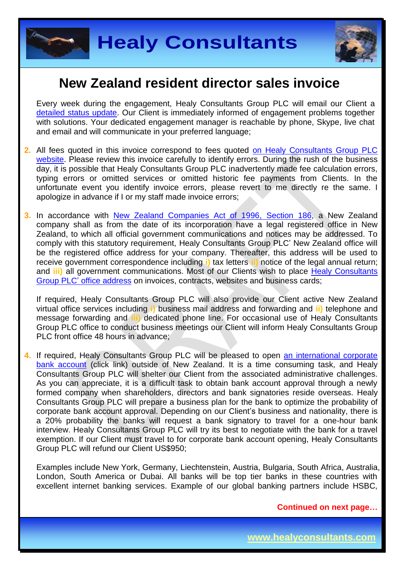



Every week during the engagement, Healy Consultants Group PLC will email our Client a [detailed status update.](http://www.healyconsultants.com/index-important-links/weekly-engagement-status-email/) Our Client is immediately informed of engagement problems together with solutions. Your dedicated engagement manager is reachable by phone, Skype, live chat and email and will communicate in your preferred language;

- **2.** All fees quoted in this invoice correspond to fees quoted [on Healy Consultants Group PLC](http://www.healyconsultants.com/company-registration-fees/) [website.](http://www.healyconsultants.com/company-registration-fees/) Please review this invoice carefully to identify errors. During the rush of the business day, it is possible that Healy Consultants Group PLC inadvertently made fee calculation errors, typing errors or omitted services or omitted historic fee payments from Clients. In the unfortunate event you identify invoice errors, please revert to me directly re the same. I apologize in advance if I or my staff made invoice errors;
- **3.** In accordance with [New Zealand Companies Act of 1996,](http://www.legislation.govt.nz/act/public/1993/0105/latest/DLM320858.html) Section 186, a New Zealand company shall as from the date of its incorporation have a legal registered office in New Zealand, to which all official government communications and notices may be addressed. To comply with this statutory requirement, Healy Consultants Group PLC' New Zealand office will be the registered office address for your company. Thereafter, this address will be used to receive government correspondence including **i)** tax letters **ii)** notice of the legal annual return; and **iii)** all government communications. Most of our Clients wish to place [Healy Consultants](http://www.healyconsultants.com/corporate-outsourcing-services/company-secretary-and-legal-registered-office/) Group PLC' [office address](http://www.healyconsultants.com/corporate-outsourcing-services/company-secretary-and-legal-registered-office/) on invoices, contracts, websites and business cards;

If required, Healy Consultants Group PLC will also provide our Client active New Zealand virtual office services including **i)** business mail address and forwarding and **ii)** telephone and message forwarding and **iii)** dedicated phone line. For occasional use of Healy Consultants Group PLC office to conduct business meetings our Client will inform Healy Consultants Group PLC front office 48 hours in advance;

**4.** If required, Healy Consultants Group PLC will be pleased to open [an international corporate](http://www.healyconsultants.com/international-banking/) [bank account](http://www.healyconsultants.com/international-banking/) (click link) outside of New Zealand. It is a time consuming task, and Healy Consultants Group PLC will shelter our Client from the associated administrative challenges. As you can appreciate, it is a difficult task to obtain bank account approval through a newly formed company when shareholders, directors and bank signatories reside overseas. Healy Consultants Group PLC will prepare a business plan for the bank to optimize the probability of corporate bank account approval. Depending on our Client's business and nationality, there is a 20% probability the banks will request a bank signatory to travel for a one-hour bank interview. Healy Consultants Group PLC will try its best to negotiate with the bank for a travel exemption. If our Client must travel to for corporate bank account opening, Healy Consultants Group PLC will refund our Client US\$950;

Examples include New York, Germany, Liechtenstein, Austria, Bulgaria, South Africa, Australia, London, South America or Dubai. All banks will be top tier banks in these countries with excellent internet banking services. Example of our global banking partners include HSBC,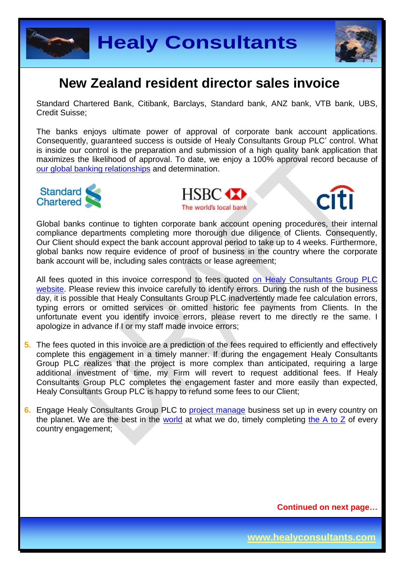



Standard Chartered Bank, Citibank, Barclays, Standard bank, ANZ bank, VTB bank, UBS, Credit Suisse;

The banks enjoys ultimate power of approval of corporate bank account applications. Consequently, guaranteed success is outside of Healy Consultants Group PLC' control. What is inside our control is the preparation and submission of a high quality bank application that maximizes the likelihood of approval. To date, we enjoy a 100% approval record because of [our global banking relationships](http://www.healyconsultants.com/international-banking/corporate-accounts/) and determination.



**HSBC** The world's local bank



Global banks continue to tighten corporate bank account opening procedures, their internal compliance departments completing more thorough due diligence of Clients. Consequently, Our Client should expect the bank account approval period to take up to 4 weeks. Furthermore, global banks now require evidence of proof of business in the country where the corporate bank account will be, including sales contracts or lease agreement;

All fees quoted in this invoice correspond to fees quoted [on Healy Consultants Group PLC](http://www.healyconsultants.com/company-registration-fees/) [website.](http://www.healyconsultants.com/company-registration-fees/) Please review this invoice carefully to identify errors. During the rush of the business day, it is possible that Healy Consultants Group PLC inadvertently made fee calculation errors, typing errors or omitted services or omitted historic fee payments from Clients. In the unfortunate event you identify invoice errors, please revert to me directly re the same. I apologize in advance if I or my staff made invoice errors;

- **5.** The fees quoted in this invoice are a prediction of the fees required to efficiently and effectively complete this engagement in a timely manner. If during the engagement Healy Consultants Group PLC realizes that the project is more complex than anticipated, requiring a large additional investment of time, my Firm will revert to request additional fees. If Healy Consultants Group PLC completes the engagement faster and more easily than expected, Healy Consultants Group PLC is happy to refund some fees to our Client;
- **6.** Engage Healy Consultants Group PLC to [project manage](http://www.healyconsultants.com/project-manage-engagements/) business set up in every country on the planet. We are the best in the [world](http://www.healyconsultants.com/best-in-the-world/) at what we do, timely completing the  $A$  to  $Z$  of every country engagement;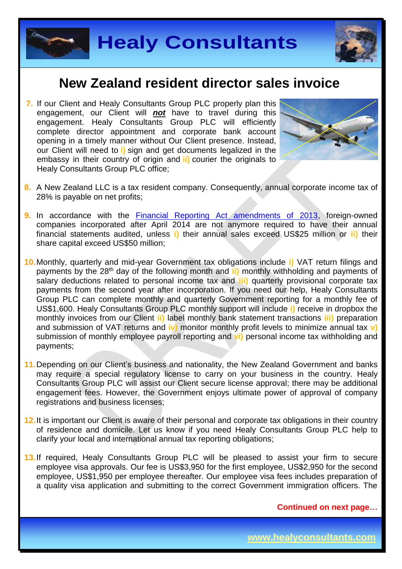



**7.** If our Client and Healy Consultants Group PLC properly plan this engagement, our Client will *not* have to travel during this engagement. Healy Consultants Group PLC will efficiently complete director appointment and corporate bank account opening in a timely manner without Our Client presence. Instead, our Client will need to **i)** sign and get documents legalized in the embassy in their country of origin and **ii)** courier the originals to Healy Consultants Group PLC office;



- **8.** A New Zealand LLC is a tax resident company. Consequently, annual corporate income tax of 28% is payable on net profits;
- **9.** In accordance with the **Financial Reporting Act amendments of 2013**, foreign-owned companies incorporated after April 2014 are not anymore required to have their annual financial statements audited, unless **i)** their annual sales exceed US\$25 million or **ii)** their share capital exceed US\$50 million;
- **10.**Monthly, quarterly and mid-year Government tax obligations include **i)** VAT return filings and payments by the 28th day of the following month and **ii)** monthly withholding and payments of salary deductions related to personal income tax and **iii)** quarterly provisional corporate tax payments from the second year after incorporation. If you need our help, Healy Consultants Group PLC can complete monthly and quarterly Government reporting for a monthly fee of US\$1,600. Healy Consultants Group PLC monthly support will include **i)** receive in dropbox the monthly invoices from our Client **ii)** label monthly bank statement transactions **iii)** preparation and submission of VAT returns and **iv)** monitor monthly profit levels to minimize annual tax **v)** submission of monthly employee payroll reporting and **vi)** personal income tax withholding and payments;
- **11.**Depending on our Client's business and nationality, the New Zealand Government and banks may require a special regulatory license to carry on your business in the country. Healy Consultants Group PLC will assist our Client secure license approval; there may be additional engagement fees. However, the Government enjoys ultimate power of approval of company registrations and business licenses;
- **12.**It is important our Client is aware of their personal and corporate tax obligations in their country of residence and domicile. Let us know if you need Healy Consultants Group PLC help to clarify your local and international annual tax reporting obligations;
- **13.**If required, Healy Consultants Group PLC will be pleased to assist your firm to secure employee visa approvals. Our fee is US\$3,950 for the first employee, US\$2,950 for the second employee, US\$1,950 per employee thereafter. Our employee visa fees includes preparation of a quality visa application and submitting to the correct Government immigration officers. The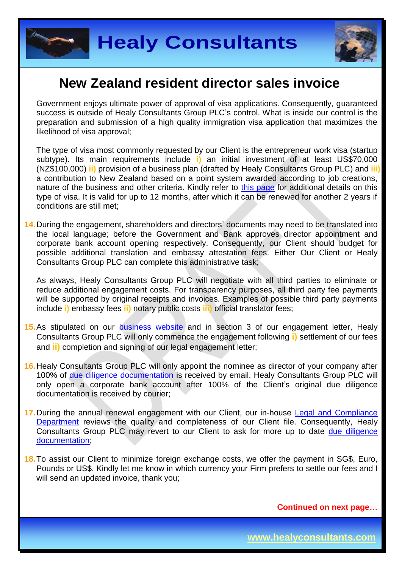



Government enjoys ultimate power of approval of visa applications. Consequently, guaranteed success is outside of Healy Consultants Group PLC's control. What is inside our control is the preparation and submission of a high quality immigration visa application that maximizes the likelihood of visa approval;

The type of visa most commonly requested by our Client is the entrepreneur work visa (startup subtype). Its main requirements include **i)** an initial investment of at least US\$70,000 (NZ\$100,000) **ii)** provision of a business plan (drafted by Healy Consultants Group PLC) and **iii)** a contribution to New Zealand based on a point system awarded according to job creations, nature of the business and other criteria. Kindly refer to [this page](http://www.immigration.govt.nz/migrant/stream/invest/entrepreneur/entrepreneurworkvisa/) for additional details on this type of visa. It is valid for up to 12 months, after which it can be renewed for another 2 years if conditions are still met;

**14.**During the engagement, shareholders and directors' documents may need to be translated into the local language; before the Government and Bank approves director appointment and corporate bank account opening respectively. Consequently, our Client should budget for possible additional translation and embassy attestation fees. Either Our Client or Healy Consultants Group PLC can complete this administrative task;

As always, Healy Consultants Group PLC will negotiate with all third parties to eliminate or reduce additional engagement costs. For transparency purposes, all third party fee payments will be supported by original receipts and invoices. Examples of possible third party payments include **i)** embassy fees **ii)** notary public costs **iii)** official translator fees;

- 15. As stipulated on our [business website](http://www.healyconsultants.com/) and in section 3 of our engagement letter, Healy Consultants Group PLC will only commence the engagement following **i)** settlement of our fees and **ii)** completion and signing of our legal engagement letter;
- **16.**Healy Consultants Group PLC will only appoint the nominee as director of your company after 100% of [due diligence documentation](http://www.healyconsultants.com/due-diligence/) is received by email. Healy Consultants Group PLC will only open a corporate bank account after 100% of the Client's original due diligence documentation is received by courier;
- **17.**During the annual renewal engagement with our Client, our in-house [Legal and Compliance](http://www.healyconsultants.com/about-us/key-personnel/cai-xin-profile/) [Department](http://www.healyconsultants.com/about-us/key-personnel/cai-xin-profile/) reviews the quality and completeness of our Client file. Consequently, Healy Consultants Group PLC may revert to our Client to ask for more up to date [due diligence](http://www.healyconsultants.com/due-diligence/) [documentation;](http://www.healyconsultants.com/due-diligence/)
- **18.**To assist our Client to minimize foreign exchange costs, we offer the payment in SG\$, Euro, Pounds or US\$. Kindly let me know in which currency your Firm prefers to settle our fees and I will send an updated invoice, thank you;